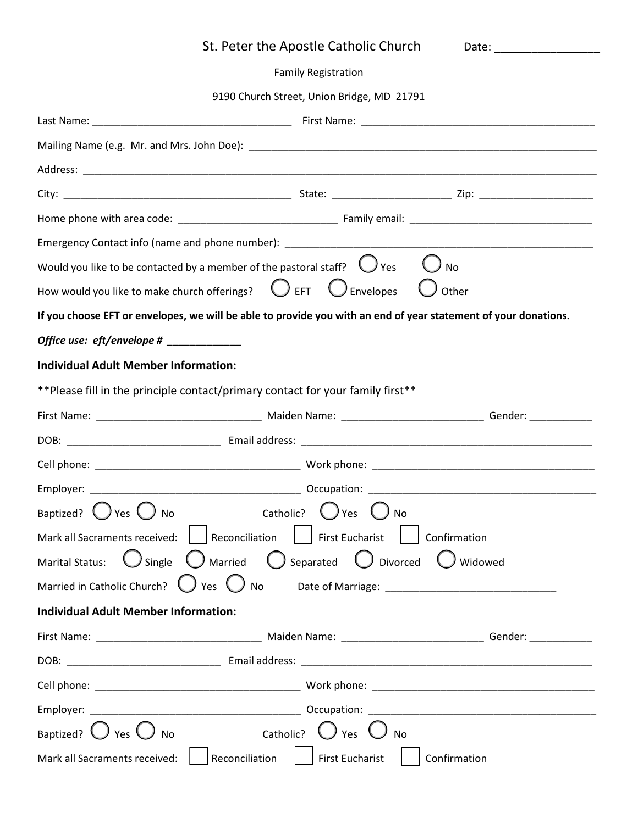| St. Peter the Apostle Catholic Church                                                                                |
|----------------------------------------------------------------------------------------------------------------------|
| <b>Family Registration</b>                                                                                           |
| 9190 Church Street, Union Bridge, MD 21791                                                                           |
|                                                                                                                      |
|                                                                                                                      |
|                                                                                                                      |
|                                                                                                                      |
|                                                                                                                      |
|                                                                                                                      |
| Would you like to be contacted by a member of the pastoral staff? $\bigcirc$ Yes<br><b>No</b>                        |
| How would you like to make church offerings? $\bigcirc$ EFT $\bigcirc$ Envelopes $\bigcirc$ Other                    |
| If you choose EFT or envelopes, we will be able to provide you with an end of year statement of your donations.      |
|                                                                                                                      |
| <b>Individual Adult Member Information:</b>                                                                          |
| ** Please fill in the principle contact/primary contact for your family first**                                      |
| First Name: ___________________________________ Maiden Name: __________________________________Gender: _____________ |
|                                                                                                                      |
|                                                                                                                      |
|                                                                                                                      |
|                                                                                                                      |
| Baptized? $\bigcup$ Yes $\bigcup$<br>Catholic?<br><b>No</b><br>$\bigcup$ Yes                                         |
| Mark all Sacraments received: Reconciliation   First Eucharist   Confirmation                                        |
| Marital Status: $\bigcup$ Single $\bigcirc$ Married $\bigcirc$ Separated $\bigcirc$ Divorced $\bigcirc$ Widowed      |
|                                                                                                                      |
| <b>Individual Adult Member Information:</b>                                                                          |
|                                                                                                                      |
|                                                                                                                      |
|                                                                                                                      |
|                                                                                                                      |
| Baptized? $\bigcirc$ Yes $\bigcirc$ No<br>Catholic? $\bigcup$ Yes $\bigcup$ No                                       |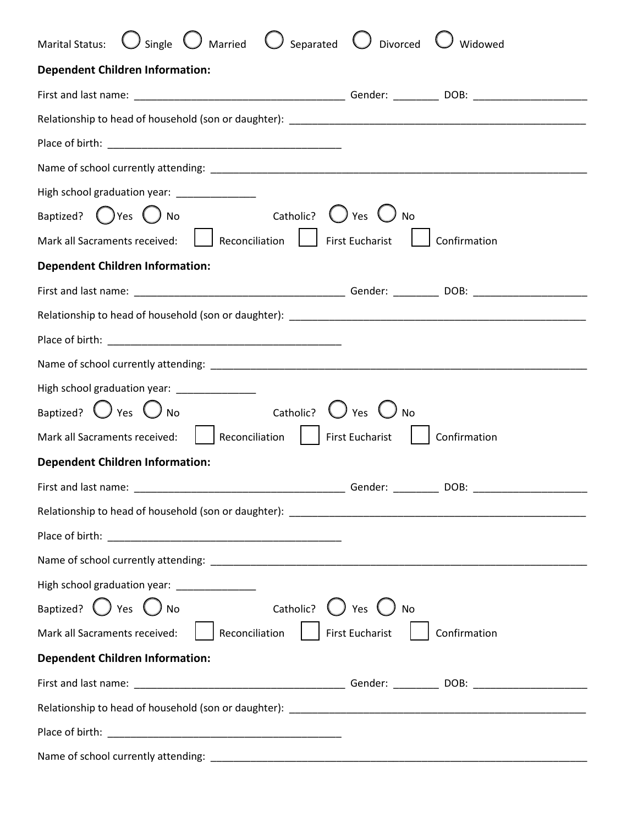| $\bigcirc$ single $\bigcirc$ Married $\bigcirc$ Separated $\bigcirc$ Divorced<br>Marital Status:<br>Widowed |
|-------------------------------------------------------------------------------------------------------------|
| <b>Dependent Children Information:</b>                                                                      |
|                                                                                                             |
|                                                                                                             |
|                                                                                                             |
|                                                                                                             |
| High school graduation year: ______________                                                                 |
| Baptized? $\bigcirc$ Yes $\bigcirc$ No $\qquad$ Catholic? $\bigcirc$ Yes $\bigcirc$ No                      |
| Mark all Sacraments received:   Reconciliation   First Eucharist<br>Confirmation                            |
| <b>Dependent Children Information:</b>                                                                      |
|                                                                                                             |
|                                                                                                             |
|                                                                                                             |
|                                                                                                             |
| High school graduation year: ________________                                                               |
| Baptized? $\bigcirc$ Yes $\bigcirc$ No Catholic?<br>$\bigcup$ Yes $\bigcup$                                 |
| Mark all Sacraments received:     Reconciliation     First Eucharist  <br>Confirmation                      |
| <b>Dependent Children Information:</b>                                                                      |
| Gender: ___________ DOB: ______________                                                                     |
|                                                                                                             |
|                                                                                                             |
|                                                                                                             |
| High school graduation year: ________________                                                               |
| Baptized? $\bigcirc$ Yes $\bigcirc$ No<br>Catholic? $\bigcup$ Yes $\bigcup$<br>No                           |
| Mark all Sacraments received:     Reconciliation     First Eucharist<br>Confirmation                        |
| <b>Dependent Children Information:</b>                                                                      |
|                                                                                                             |
|                                                                                                             |
|                                                                                                             |
|                                                                                                             |